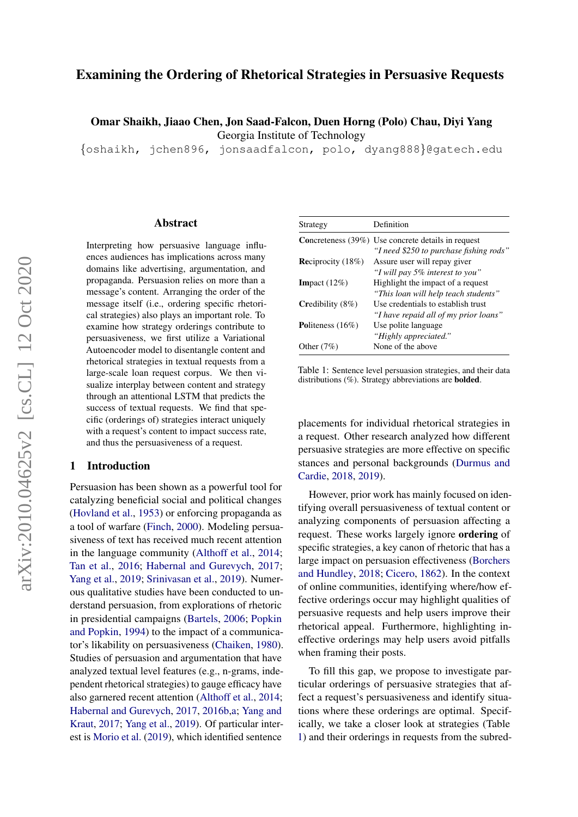## Examining the Ordering of Rhetorical Strategies in Persuasive Requests

Omar Shaikh, Jiaao Chen, Jon Saad-Falcon, Duen Horng (Polo) Chau, Diyi Yang Georgia Institute of Technology

{oshaikh, jchen896, jonsaadfalcon, polo, dyang888}@gatech.edu

#### Abstract

Interpreting how persuasive language influences audiences has implications across many domains like advertising, argumentation, and propaganda. Persuasion relies on more than a message's content. Arranging the order of the message itself (i.e., ordering specific rhetorical strategies) also plays an important role. To examine how strategy orderings contribute to persuasiveness, we first utilize a Variational Autoencoder model to disentangle content and rhetorical strategies in textual requests from a large-scale loan request corpus. We then visualize interplay between content and strategy through an attentional LSTM that predicts the success of textual requests. We find that specific (orderings of) strategies interact uniquely with a request's content to impact success rate, and thus the persuasiveness of a request.

#### 1 Introduction

Persuasion has been shown as a powerful tool for catalyzing beneficial social and political changes [\(Hovland et al.,](#page-5-0) [1953\)](#page-5-0) or enforcing propaganda as a tool of warfare [\(Finch,](#page-5-1) [2000\)](#page-5-1). Modeling persuasiveness of text has received much recent attention in the language community [\(Althoff et al.,](#page-4-0) [2014;](#page-4-0) [Tan et al.,](#page-6-0) [2016;](#page-6-0) [Habernal and Gurevych,](#page-5-2) [2017;](#page-5-2) [Yang et al.,](#page-6-1) [2019;](#page-6-1) [Srinivasan et al.,](#page-6-2) [2019\)](#page-6-2). Numerous qualitative studies have been conducted to understand persuasion, from explorations of rhetoric in presidential campaigns [\(Bartels,](#page-5-3) [2006;](#page-5-3) [Popkin](#page-6-3) [and Popkin,](#page-6-3) [1994\)](#page-6-3) to the impact of a communicator's likability on persuasiveness [\(Chaiken,](#page-5-4) [1980\)](#page-5-4). Studies of persuasion and argumentation that have analyzed textual level features (e.g., n-grams, independent rhetorical strategies) to gauge efficacy have also garnered recent attention [\(Althoff et al.,](#page-4-0) [2014;](#page-4-0) [Habernal and Gurevych,](#page-5-2) [2017,](#page-5-2) [2016b,](#page-5-5)[a;](#page-5-6) [Yang and](#page-6-4) [Kraut,](#page-6-4) [2017;](#page-6-4) [Yang et al.,](#page-6-1) [2019\)](#page-6-1). Of particular interest is [Morio et al.](#page-5-7) [\(2019\)](#page-5-7), which identified sentence

<span id="page-0-0"></span>

| Strategy                    | Definition                                                |
|-----------------------------|-----------------------------------------------------------|
|                             | <b>Concreteness</b> (39%) Use concrete details in request |
|                             | "I need \$250 to purchase fishing rods"                   |
| <b>Reciprocity</b> $(18\%)$ | Assure user will repay giver                              |
|                             | "I will pay 5% interest to you"                           |
| <b>Impact</b> $(12\%)$      | Highlight the impact of a request                         |
|                             | "This loan will help teach students"                      |
| Credibility $(8\%)$         | Use credentials to establish trust                        |
|                             | "I have repaid all of my prior loans"                     |
| Politeness $(16\%)$         | Use polite language                                       |
|                             | "Highly appreciated."                                     |
| Other $(7%)$                | None of the above                                         |

Table 1: Sentence level persuasion strategies, and their data distributions (%). Strategy abbreviations are bolded.

placements for individual rhetorical strategies in a request. Other research analyzed how different persuasive strategies are more effective on specific stances and personal backgrounds [\(Durmus and](#page-5-8) [Cardie,](#page-5-8) [2018,](#page-5-8) [2019\)](#page-5-9).

However, prior work has mainly focused on identifying overall persuasiveness of textual content or analyzing components of persuasion affecting a request. These works largely ignore ordering of specific strategies, a key canon of rhetoric that has a large impact on persuasion effectiveness [\(Borchers](#page-5-10) [and Hundley,](#page-5-10) [2018;](#page-5-10) [Cicero,](#page-5-11) [1862\)](#page-5-11). In the context of online communities, identifying where/how effective orderings occur may highlight qualities of persuasive requests and help users improve their rhetorical appeal. Furthermore, highlighting ineffective orderings may help users avoid pitfalls when framing their posts.

To fill this gap, we propose to investigate particular orderings of persuasive strategies that affect a request's persuasiveness and identify situations where these orderings are optimal. Specifically, we take a closer look at strategies (Table [1\)](#page-0-0) and their orderings in requests from the subred-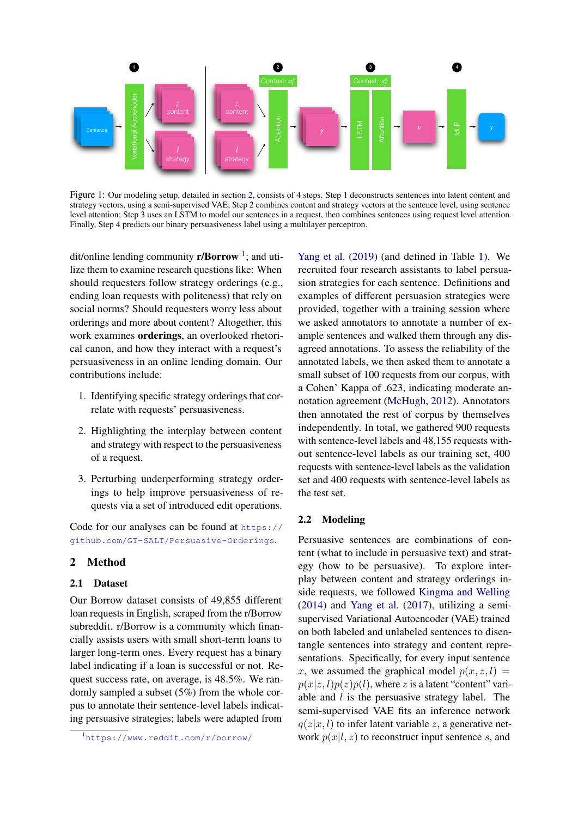

Figure 1: Our modeling setup, detailed in section [2,](#page-1-0) consists of 4 steps. Step 1 deconstructs sentences into latent content and strategy vectors, using a semi-supervised VAE; Step 2 combines content and strategy vectors at the sentence level, using sentence level attention; Step 3 uses an LSTM to model our sentences in a request, then combines sentences using request level attention. Finally, Step 4 predicts our binary persuasiveness label using a multilayer perceptron.

dit/online lending community **r/Borrow**<sup>[1](#page-1-1)</sup>; and utilize them to examine research questions like: When should requesters follow strategy orderings (e.g., ending loan requests with politeness) that rely on social norms? Should requesters worry less about orderings and more about content? Altogether, this work examines orderings, an overlooked rhetorical canon, and how they interact with a request's persuasiveness in an online lending domain. Our contributions include:

- 1. Identifying specific strategy orderings that correlate with requests' persuasiveness.
- 2. Highlighting the interplay between content and strategy with respect to the persuasiveness of a request.
- 3. Perturbing underperforming strategy orderings to help improve persuasiveness of requests via a set of introduced edit operations.

Code for our analyses can be found at [https://](https://github.com/GT-SALT/Persuasive-Orderings) [github.com/GT-SALT/Persuasive-Orderings](https://github.com/GT-SALT/Persuasive-Orderings).

## <span id="page-1-0"></span>2 Method

### 2.1 Dataset

Our Borrow dataset consists of 49,855 different loan requests in English, scraped from the r/Borrow subreddit. r/Borrow is a community which financially assists users with small short-term loans to larger long-term ones. Every request has a binary label indicating if a loan is successful or not. Request success rate, on average, is 48.5%. We randomly sampled a subset (5%) from the whole corpus to annotate their sentence-level labels indicating persuasive strategies; labels were adapted from

[Yang et al.](#page-6-1) [\(2019\)](#page-6-1) (and defined in Table [1\)](#page-0-0). We recruited four research assistants to label persuasion strategies for each sentence. Definitions and examples of different persuasion strategies were provided, together with a training session where we asked annotators to annotate a number of example sentences and walked them through any disagreed annotations. To assess the reliability of the annotated labels, we then asked them to annotate a small subset of 100 requests from our corpus, with a Cohen' Kappa of .623, indicating moderate annotation agreement [\(McHugh,](#page-5-12) [2012\)](#page-5-12). Annotators then annotated the rest of corpus by themselves independently. In total, we gathered 900 requests with sentence-level labels and 48,155 requests without sentence-level labels as our training set, 400 requests with sentence-level labels as the validation set and 400 requests with sentence-level labels as the test set.

### 2.2 Modeling

Persuasive sentences are combinations of content (what to include in persuasive text) and strategy (how to be persuasive). To explore interplay between content and strategy orderings inside requests, we followed [Kingma and Welling](#page-5-13) [\(2014\)](#page-5-13) and [Yang et al.](#page-6-5) [\(2017\)](#page-6-5), utilizing a semisupervised Variational Autoencoder (VAE) trained on both labeled and unlabeled sentences to disentangle sentences into strategy and content representations. Specifically, for every input sentence x, we assumed the graphical model  $p(x, z, l)$  =  $p(x|z, l)p(z)p(l)$ , where z is a latent "content" variable and  $l$  is the persuasive strategy label. The semi-supervised VAE fits an inference network  $q(z|x, l)$  to infer latent variable z, a generative network  $p(x|l, z)$  to reconstruct input sentence s, and

<span id="page-1-1"></span><sup>1</sup><https://www.reddit.com/r/borrow/>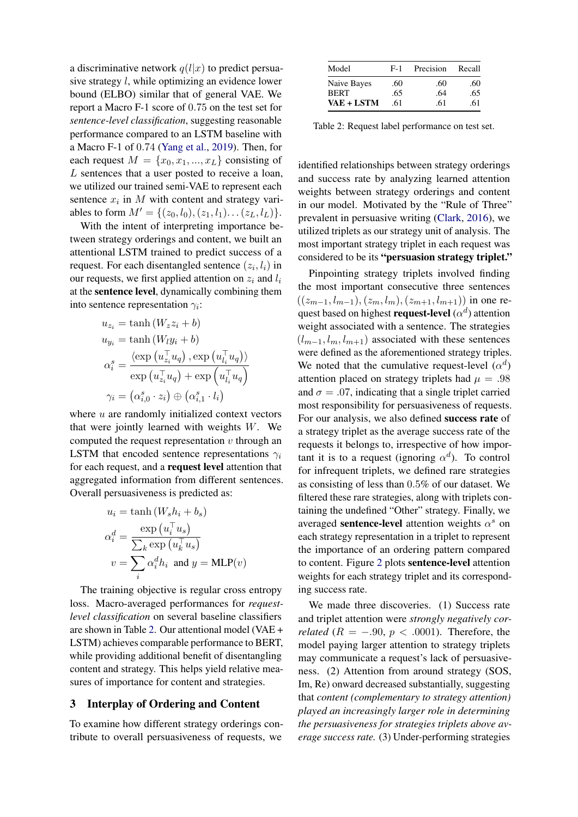a discriminative network  $q(l|x)$  to predict persuasive strategy l, while optimizing an evidence lower bound (ELBO) similar that of general VAE. We report a Macro F-1 score of 0.75 on the test set for *sentence-level classification*, suggesting reasonable performance compared to an LSTM baseline with a Macro F-1 of 0.74 [\(Yang et al.,](#page-6-1) [2019\)](#page-6-1). Then, for each request  $M = \{x_0, x_1, ..., x_L\}$  consisting of L sentences that a user posted to receive a loan, we utilized our trained semi-VAE to represent each sentence  $x_i$  in M with content and strategy variables to form  $M' = \{(z_0, l_0), (z_1, l_1) \dots (z_L, l_L)\}.$ 

With the intent of interpreting importance between strategy orderings and content, we built an attentional LSTM trained to predict success of a request. For each disentangled sentence  $(z_i, l_i)$  in our requests, we first applied attention on  $z_i$  and  $l_i$ at the sentence level, dynamically combining them into sentence representation  $\gamma_i$ :

$$
u_{z_i} = \tanh (W_z z_i + b)
$$
  
\n
$$
u_{y_i} = \tanh (W_l y_i + b)
$$
  
\n
$$
\alpha_i^s = \frac{\langle \exp(u_{z_i}^\top u_q), \exp(u_{l_i}^\top u_q) \rangle}{\langle \exp(u_{z_i}^\top u_q), \exp(u_{l_i}^\top u_q) \rangle}
$$
  
\n
$$
\gamma_i = (\alpha_{i,0}^s \cdot z_i) \oplus (\alpha_{i,1}^s \cdot l_i)
$$

where  $u$  are randomly initialized context vectors that were jointly learned with weights  $W$ . We computed the request representation  $v$  through an LSTM that encoded sentence representations  $\gamma_i$ for each request, and a request level attention that aggregated information from different sentences. Overall persuasiveness is predicted as:

$$
u_i = \tanh(W_s h_i + b_s)
$$

$$
\alpha_i^d = \frac{\exp(u_i^{\top} u_s)}{\sum_k \exp(u_k^{\top} u_s)}
$$

$$
v = \sum_i \alpha_i^d h_i \text{ and } y = \text{MLP}(v)
$$

The training objective is regular cross entropy loss. Macro-averaged performances for *requestlevel classification* on several baseline classifiers are shown in Table [2.](#page-2-0) Our attentional model (VAE + LSTM) achieves comparable performance to BERT, while providing additional benefit of disentangling content and strategy. This helps yield relative measures of importance for content and strategies.

### 3 Interplay of Ordering and Content

To examine how different strategy orderings contribute to overall persuasiveness of requests, we

<span id="page-2-0"></span>

| Model       | Precision<br>$F-1$ |     | Recall |  |
|-------------|--------------------|-----|--------|--|
| Naive Bayes | .60                | .60 | .60    |  |
| <b>BERT</b> | .65                | .64 | .65    |  |
| VAE + LSTM  | .61                | .61 | .61    |  |

Table 2: Request label performance on test set.

identified relationships between strategy orderings and success rate by analyzing learned attention weights between strategy orderings and content in our model. Motivated by the "Rule of Three" prevalent in persuasive writing [\(Clark,](#page-5-14) [2016\)](#page-5-14), we utilized triplets as our strategy unit of analysis. The most important strategy triplet in each request was considered to be its "persuasion strategy triplet."

Pinpointing strategy triplets involved finding the most important consecutive three sentences  $((z_{m-1}, l_{m-1}), (z_m, l_m), (z_{m+1}, l_{m+1}))$  in one request based on highest **request-level**  $(\alpha^d)$  attention weight associated with a sentence. The strategies  $(l_{m-1}, l_m, l_{m+1})$  associated with these sentences were defined as the aforementioned strategy triples. We noted that the cumulative request-level  $(\alpha^d)$ attention placed on strategy triplets had  $\mu = .98$ and  $\sigma = .07$ , indicating that a single triplet carried most responsibility for persuasiveness of requests. For our analysis, we also defined success rate of a strategy triplet as the average success rate of the requests it belongs to, irrespective of how important it is to a request (ignoring  $\alpha^d$ ). To control for infrequent triplets, we defined rare strategies as consisting of less than 0.5% of our dataset. We filtered these rare strategies, along with triplets containing the undefined "Other" strategy. Finally, we averaged sentence-level attention weights  $\alpha^s$  on each strategy representation in a triplet to represent the importance of an ordering pattern compared to content. Figure [2](#page-3-0) plots sentence-level attention weights for each strategy triplet and its corresponding success rate.

We made three discoveries. (1) Success rate and triplet attention were *strongly negatively correlated* ( $R = -.90, p < .0001$ ). Therefore, the model paying larger attention to strategy triplets may communicate a request's lack of persuasiveness. (2) Attention from around strategy (SOS, Im, Re) onward decreased substantially, suggesting that *content (complementary to strategy attention) played an increasingly larger role in determining the persuasiveness for strategies triplets above average success rate.* (3) Under-performing strategies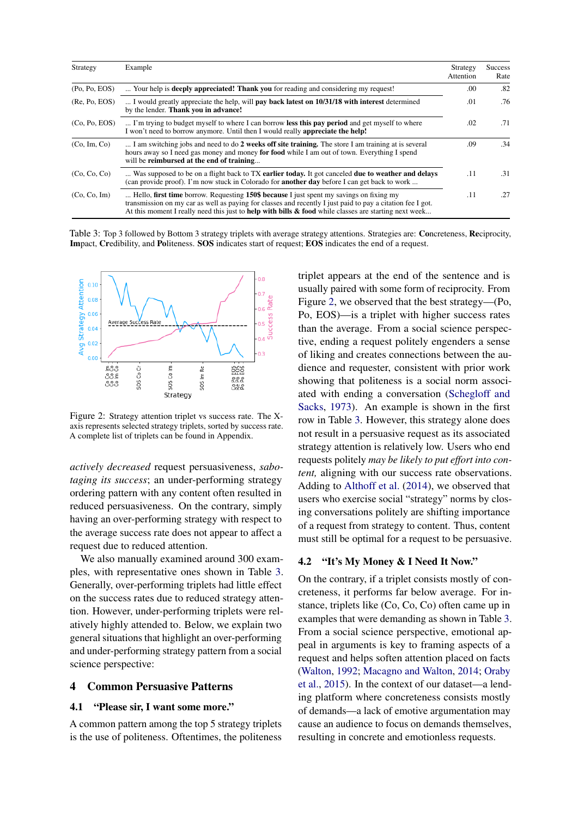<span id="page-3-1"></span>

| Strategy      | Example                                                                                                                                                                                                                                                                                                                   | Strategy<br>Attention | <b>Success</b><br>Rate |
|---------------|---------------------------------------------------------------------------------------------------------------------------------------------------------------------------------------------------------------------------------------------------------------------------------------------------------------------------|-----------------------|------------------------|
| (Po, Po, EOS) | Your help is <b>deeply appreciated! Thank you</b> for reading and considering my request!                                                                                                                                                                                                                                 | .00                   | .82                    |
| (Re, Po, EOS) | I would greatly appreciate the help, will <b>pay back latest on 10/31/18 with interest</b> determined<br>by the lender. Thank you in advance!                                                                                                                                                                             | .01                   | .76                    |
| (Co, Po, EOS) | I'm trying to budget myself to where I can borrow less this pay period and get myself to where<br>I won't need to borrow anymore. Until then I would really <b>appreciate the help!</b>                                                                                                                                   | .02                   | .71                    |
| (Co, Im, Co)  | I am switching jobs and need to do 2 weeks off site training. The store I am training at is several<br>hours away so I need gas money and money for food while I am out of town. Everything I spend<br>will be reimbursed at the end of training                                                                          | .09                   | .34                    |
| (Co, Co, Co)  | Was supposed to be on a flight back to TX earlier today. It got canceled due to weather and delays<br>(can provide proof). I'm now stuck in Colorado for <b>another day</b> before I can get back to work                                                                                                                 | .11                   | .31                    |
| (Co, Co, Im)  | Hello, first time borrow. Requesting 150\$ because I just spent my savings on fixing my<br>transmission on my car as well as paying for classes and recently I just paid to pay a citation fee I got.<br>At this moment I really need this just to <b>help with bills &amp; food</b> while classes are starting next week | .11                   | .27                    |

Table 3: Top 3 followed by Bottom 3 strategy triplets with average strategy attentions. Strategies are: Concreteness, Reciprocity, Impact, Credibility, and Politeness. SOS indicates start of request; EOS indicates the end of a request.

<span id="page-3-0"></span>

Figure 2: Strategy attention triplet vs success rate. The Xaxis represents selected strategy triplets, sorted by success rate. A complete list of triplets can be found in Appendix.

*actively decreased* request persuasiveness, *sabotaging its success*; an under-performing strategy ordering pattern with any content often resulted in reduced persuasiveness. On the contrary, simply having an over-performing strategy with respect to the average success rate does not appear to affect a request due to reduced attention.

We also manually examined around 300 examples, with representative ones shown in Table [3.](#page-3-1) Generally, over-performing triplets had little effect on the success rates due to reduced strategy attention. However, under-performing triplets were relatively highly attended to. Below, we explain two general situations that highlight an over-performing and under-performing strategy pattern from a social science perspective:

#### 4 Common Persuasive Patterns

#### 4.1 "Please sir, I want some more."

A common pattern among the top 5 strategy triplets is the use of politeness. Oftentimes, the politeness triplet appears at the end of the sentence and is usually paired with some form of reciprocity. From Figure [2,](#page-3-0) we observed that the best strategy—(Po, Po, EOS)—is a triplet with higher success rates than the average. From a social science perspective, ending a request politely engenders a sense of liking and creates connections between the audience and requester, consistent with prior work showing that politeness is a social norm associated with ending a conversation [\(Schegloff and](#page-6-6) [Sacks,](#page-6-6) [1973\)](#page-6-6). An example is shown in the first row in Table [3.](#page-3-1) However, this strategy alone does not result in a persuasive request as its associated strategy attention is relatively low. Users who end requests politely *may be likely to put effort into content,* aligning with our success rate observations. Adding to [Althoff et al.](#page-4-0) [\(2014\)](#page-4-0), we observed that users who exercise social "strategy" norms by closing conversations politely are shifting importance of a request from strategy to content. Thus, content must still be optimal for a request to be persuasive.

### 4.2 "It's My Money & I Need It Now."

On the contrary, if a triplet consists mostly of concreteness, it performs far below average. For instance, triplets like (Co, Co, Co) often came up in examples that were demanding as shown in Table [3.](#page-3-1) From a social science perspective, emotional appeal in arguments is key to framing aspects of a request and helps soften attention placed on facts [\(Walton,](#page-6-7) [1992;](#page-6-7) [Macagno and Walton,](#page-5-15) [2014;](#page-5-15) [Oraby](#page-5-16) [et al.,](#page-5-16) [2015\)](#page-5-16). In the context of our dataset—a lending platform where concreteness consists mostly of demands—a lack of emotive argumentation may cause an audience to focus on demands themselves, resulting in concrete and emotionless requests.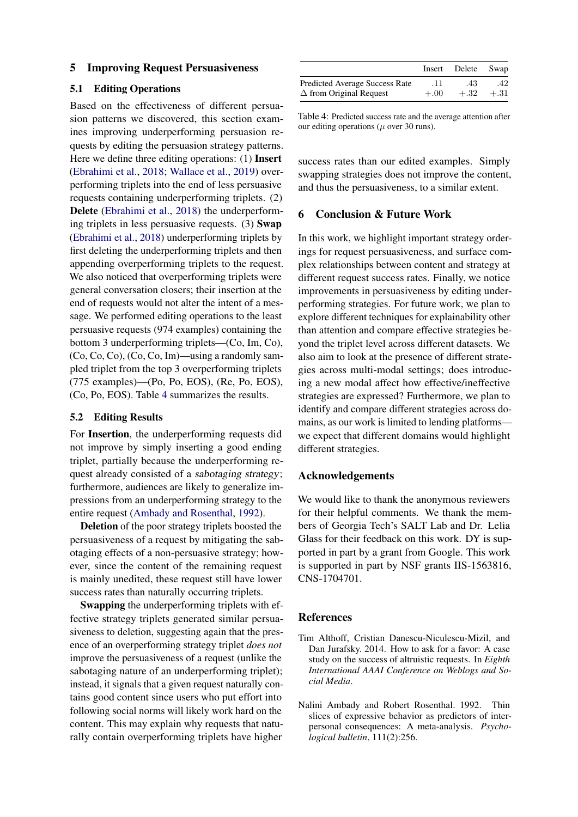### 5 Improving Request Persuasiveness

#### 5.1 Editing Operations

Based on the effectiveness of different persuasion patterns we discovered, this section examines improving underperforming persuasion requests by editing the persuasion strategy patterns. Here we define three editing operations: (1) Insert [\(Ebrahimi et al.,](#page-5-17) [2018;](#page-5-17) [Wallace et al.,](#page-6-8) [2019\)](#page-6-8) overperforming triplets into the end of less persuasive requests containing underperforming triplets. (2) Delete [\(Ebrahimi et al.,](#page-5-17) [2018\)](#page-5-17) the underperforming triplets in less persuasive requests. (3) Swap [\(Ebrahimi et al.,](#page-5-17) [2018\)](#page-5-17) underperforming triplets by first deleting the underperforming triplets and then appending overperforming triplets to the request. We also noticed that overperforming triplets were general conversation closers; their insertion at the end of requests would not alter the intent of a message. We performed editing operations to the least persuasive requests (974 examples) containing the bottom 3 underperforming triplets—(Co, Im, Co), (Co, Co, Co), (Co, Co, Im)—using a randomly sampled triplet from the top 3 overperforming triplets (775 examples)—(Po, Po, EOS), (Re, Po, EOS), (Co, Po, EOS). Table [4](#page-4-1) summarizes the results.

### 5.2 Editing Results

For Insertion, the underperforming requests did not improve by simply inserting a good ending triplet, partially because the underperforming request already consisted of a sabotaging strategy; furthermore, audiences are likely to generalize impressions from an underperforming strategy to the entire request [\(Ambady and Rosenthal,](#page-4-2) [1992\)](#page-4-2).

Deletion of the poor strategy triplets boosted the persuasiveness of a request by mitigating the sabotaging effects of a non-persuasive strategy; however, since the content of the remaining request is mainly unedited, these request still have lower success rates than naturally occurring triplets.

Swapping the underperforming triplets with effective strategy triplets generated similar persuasiveness to deletion, suggesting again that the presence of an overperforming strategy triplet *does not* improve the persuasiveness of a request (unlike the sabotaging nature of an underperforming triplet); instead, it signals that a given request naturally contains good content since users who put effort into following social norms will likely work hard on the content. This may explain why requests that naturally contain overperforming triplets have higher

<span id="page-4-1"></span>

|                                       | Insert | Delete Swap |        |
|---------------------------------------|--------|-------------|--------|
| <b>Predicted Average Success Rate</b> | .11    | .43         | .42    |
| $\Delta$ from Original Request        | $+.00$ | $+.32$      | $+.31$ |

Table 4: Predicted success rate and the average attention after our editing operations ( $\mu$  over 30 runs).

success rates than our edited examples. Simply swapping strategies does not improve the content, and thus the persuasiveness, to a similar extent.

#### 6 Conclusion & Future Work

In this work, we highlight important strategy orderings for request persuasiveness, and surface complex relationships between content and strategy at different request success rates. Finally, we notice improvements in persuasiveness by editing underperforming strategies. For future work, we plan to explore different techniques for explainability other than attention and compare effective strategies beyond the triplet level across different datasets. We also aim to look at the presence of different strategies across multi-modal settings; does introducing a new modal affect how effective/ineffective strategies are expressed? Furthermore, we plan to identify and compare different strategies across domains, as our work is limited to lending platforms we expect that different domains would highlight different strategies.

### Acknowledgements

We would like to thank the anonymous reviewers for their helpful comments. We thank the members of Georgia Tech's SALT Lab and Dr. Lelia Glass for their feedback on this work. DY is supported in part by a grant from Google. This work is supported in part by NSF grants IIS-1563816, CNS-1704701.

#### References

- <span id="page-4-0"></span>Tim Althoff, Cristian Danescu-Niculescu-Mizil, and Dan Jurafsky. 2014. How to ask for a favor: A case study on the success of altruistic requests. In *Eighth International AAAI Conference on Weblogs and Social Media*.
- <span id="page-4-2"></span>Nalini Ambady and Robert Rosenthal. 1992. Thin slices of expressive behavior as predictors of interpersonal consequences: A meta-analysis. *Psychological bulletin*, 111(2):256.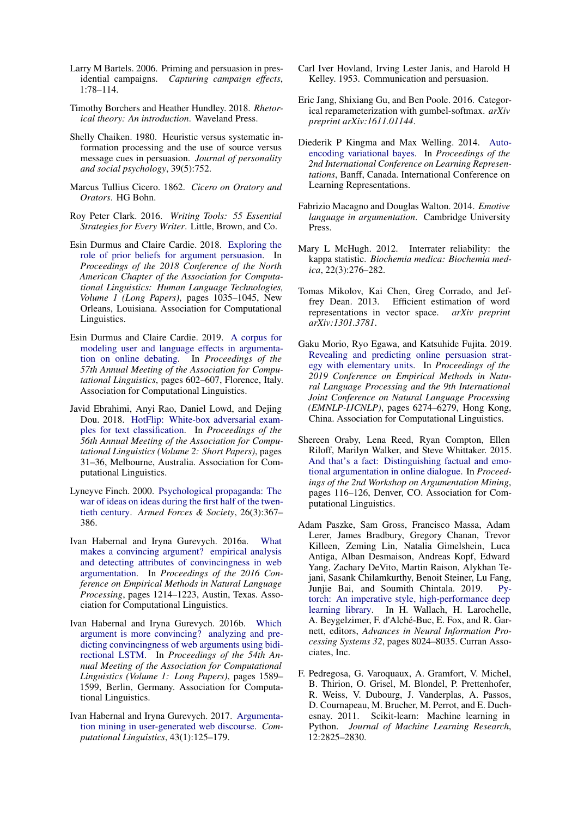- <span id="page-5-3"></span>Larry M Bartels. 2006. Priming and persuasion in presidential campaigns. *Capturing campaign effects*, 1:78–114.
- <span id="page-5-10"></span>Timothy Borchers and Heather Hundley. 2018. *Rhetorical theory: An introduction*. Waveland Press.
- <span id="page-5-4"></span>Shelly Chaiken. 1980. Heuristic versus systematic information processing and the use of source versus message cues in persuasion. *Journal of personality and social psychology*, 39(5):752.
- <span id="page-5-11"></span>Marcus Tullius Cicero. 1862. *Cicero on Oratory and Orators*. HG Bohn.
- <span id="page-5-14"></span>Roy Peter Clark. 2016. *Writing Tools: 55 Essential Strategies for Every Writer*. Little, Brown, and Co.
- <span id="page-5-8"></span>Esin Durmus and Claire Cardie. 2018. [Exploring the](https://doi.org/10.18653/v1/N18-1094) [role of prior beliefs for argument persuasion.](https://doi.org/10.18653/v1/N18-1094) In *Proceedings of the 2018 Conference of the North American Chapter of the Association for Computational Linguistics: Human Language Technologies, Volume 1 (Long Papers)*, pages 1035–1045, New Orleans, Louisiana. Association for Computational Linguistics.
- <span id="page-5-9"></span>Esin Durmus and Claire Cardie. 2019. [A corpus for](https://doi.org/10.18653/v1/P19-1057) [modeling user and language effects in argumenta](https://doi.org/10.18653/v1/P19-1057)[tion on online debating.](https://doi.org/10.18653/v1/P19-1057) In *Proceedings of the 57th Annual Meeting of the Association for Computational Linguistics*, pages 602–607, Florence, Italy. Association for Computational Linguistics.
- <span id="page-5-17"></span>Javid Ebrahimi, Anyi Rao, Daniel Lowd, and Dejing Dou. 2018. [HotFlip: White-box adversarial exam](https://doi.org/10.18653/v1/P18-2006)[ples for text classification.](https://doi.org/10.18653/v1/P18-2006) In *Proceedings of the 56th Annual Meeting of the Association for Computational Linguistics (Volume 2: Short Papers)*, pages 31–36, Melbourne, Australia. Association for Computational Linguistics.
- <span id="page-5-1"></span>Lyneyve Finch. 2000. [Psychological propaganda: The](https://doi.org/10.1177/0095327X0002600302) [war of ideas on ideas during the first half of the twen](https://doi.org/10.1177/0095327X0002600302)[tieth century.](https://doi.org/10.1177/0095327X0002600302) *Armed Forces & Society*, 26(3):367– 386.
- <span id="page-5-6"></span>Ivan Habernal and Iryna Gurevych. 2016a. [What](https://doi.org/10.18653/v1/D16-1129) [makes a convincing argument? empirical analysis](https://doi.org/10.18653/v1/D16-1129) [and detecting attributes of convincingness in web](https://doi.org/10.18653/v1/D16-1129) [argumentation.](https://doi.org/10.18653/v1/D16-1129) In *Proceedings of the 2016 Conference on Empirical Methods in Natural Language Processing*, pages 1214–1223, Austin, Texas. Association for Computational Linguistics.
- <span id="page-5-5"></span>Ivan Habernal and Iryna Gurevych. 2016b. [Which](https://doi.org/10.18653/v1/P16-1150) [argument is more convincing? analyzing and pre](https://doi.org/10.18653/v1/P16-1150)[dicting convincingness of web arguments using bidi](https://doi.org/10.18653/v1/P16-1150)[rectional LSTM.](https://doi.org/10.18653/v1/P16-1150) In *Proceedings of the 54th Annual Meeting of the Association for Computational Linguistics (Volume 1: Long Papers)*, pages 1589– 1599, Berlin, Germany. Association for Computational Linguistics.
- <span id="page-5-2"></span>Ivan Habernal and Iryna Gurevych. 2017. [Argumenta](https://doi.org/10.1162/COLI_a_00276)[tion mining in user-generated web discourse.](https://doi.org/10.1162/COLI_a_00276) *Computational Linguistics*, 43(1):125–179.
- <span id="page-5-0"></span>Carl Iver Hovland, Irving Lester Janis, and Harold H Kelley. 1953. Communication and persuasion.
- <span id="page-5-19"></span>Eric Jang, Shixiang Gu, and Ben Poole. 2016. Categorical reparameterization with gumbel-softmax. *arXiv preprint arXiv:1611.01144*.
- <span id="page-5-13"></span>Diederik P Kingma and Max Welling. 2014. [Auto](https://arxiv.org/abs/1312.6114)[encoding variational bayes.](https://arxiv.org/abs/1312.6114) In *Proceedings of the 2nd International Conference on Learning Representations*, Banff, Canada. International Conference on Learning Representations.
- <span id="page-5-15"></span>Fabrizio Macagno and Douglas Walton. 2014. *Emotive language in argumentation*. Cambridge University Press.
- <span id="page-5-12"></span>Mary L McHugh. 2012. Interrater reliability: the kappa statistic. *Biochemia medica: Biochemia medica*, 22(3):276–282.
- <span id="page-5-20"></span>Tomas Mikolov, Kai Chen, Greg Corrado, and Jeffrey Dean. 2013. Efficient estimation of word representations in vector space. *arXiv preprint arXiv:1301.3781*.
- <span id="page-5-7"></span>Gaku Morio, Ryo Egawa, and Katsuhide Fujita. 2019. [Revealing and predicting online persuasion strat](https://doi.org/10.18653/v1/D19-1653)[egy with elementary units.](https://doi.org/10.18653/v1/D19-1653) In *Proceedings of the 2019 Conference on Empirical Methods in Natural Language Processing and the 9th International Joint Conference on Natural Language Processing (EMNLP-IJCNLP)*, pages 6274–6279, Hong Kong, China. Association for Computational Linguistics.
- <span id="page-5-16"></span>Shereen Oraby, Lena Reed, Ryan Compton, Ellen Riloff, Marilyn Walker, and Steve Whittaker. 2015. [And that's a fact: Distinguishing factual and emo](https://doi.org/10.3115/v1/W15-0515)[tional argumentation in online dialogue.](https://doi.org/10.3115/v1/W15-0515) In *Proceedings of the 2nd Workshop on Argumentation Mining*, pages 116–126, Denver, CO. Association for Computational Linguistics.
- <span id="page-5-18"></span>Adam Paszke, Sam Gross, Francisco Massa, Adam Lerer, James Bradbury, Gregory Chanan, Trevor Killeen, Zeming Lin, Natalia Gimelshein, Luca Antiga, Alban Desmaison, Andreas Kopf, Edward Yang, Zachary DeVito, Martin Raison, Alykhan Tejani, Sasank Chilamkurthy, Benoit Steiner, Lu Fang, Junjie Bai, and Soumith Chintala. 2019. [Py](http://papers.neurips.cc/paper/9015-pytorch-an-imperative-style-high-performance-deep-learning-library.pdf)[torch: An imperative style, high-performance deep](http://papers.neurips.cc/paper/9015-pytorch-an-imperative-style-high-performance-deep-learning-library.pdf) [learning library.](http://papers.neurips.cc/paper/9015-pytorch-an-imperative-style-high-performance-deep-learning-library.pdf) In H. Wallach, H. Larochelle, A. Beygelzimer, F. d'Alché-Buc, E. Fox, and R. Garnett, editors, *Advances in Neural Information Processing Systems 32*, pages 8024–8035. Curran Associates, Inc.
- <span id="page-5-21"></span>F. Pedregosa, G. Varoquaux, A. Gramfort, V. Michel, B. Thirion, O. Grisel, M. Blondel, P. Prettenhofer, R. Weiss, V. Dubourg, J. Vanderplas, A. Passos, D. Cournapeau, M. Brucher, M. Perrot, and E. Duchesnay. 2011. Scikit-learn: Machine learning in Python. *Journal of Machine Learning Research*, 12:2825–2830.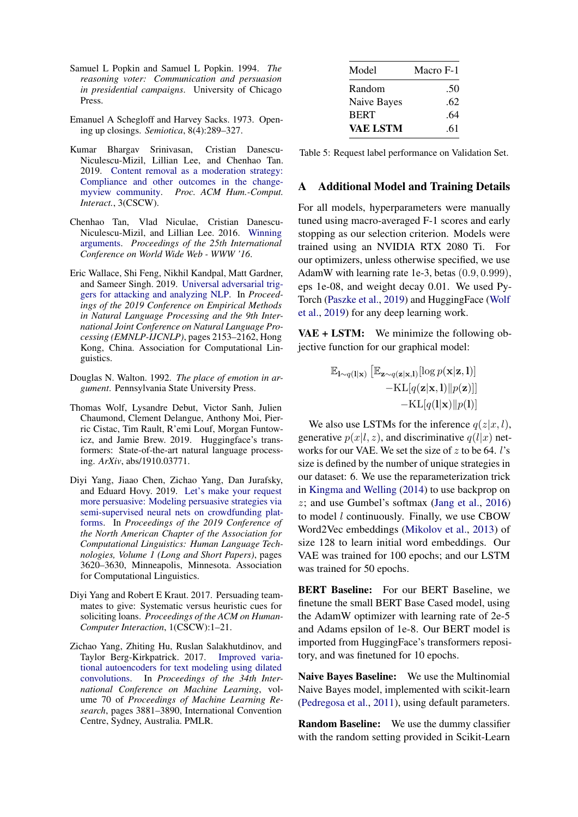- <span id="page-6-3"></span>Samuel L Popkin and Samuel L Popkin. 1994. *The reasoning voter: Communication and persuasion in presidential campaigns*. University of Chicago Press.
- <span id="page-6-6"></span>Emanuel A Schegloff and Harvey Sacks. 1973. Opening up closings. *Semiotica*, 8(4):289–327.
- <span id="page-6-2"></span>Kumar Bhargav Srinivasan, Cristian Danescu-Niculescu-Mizil, Lillian Lee, and Chenhao Tan. 2019. [Content removal as a moderation strategy:](https://doi.org/10.1145/3359265) [Compliance and other outcomes in the change](https://doi.org/10.1145/3359265)[myview community.](https://doi.org/10.1145/3359265) *Proc. ACM Hum.-Comput. Interact.*, 3(CSCW).
- <span id="page-6-0"></span>Chenhao Tan, Vlad Niculae, Cristian Danescu-Niculescu-Mizil, and Lillian Lee. 2016. [Winning](https://doi.org/10.1145/2872427.2883081) [arguments.](https://doi.org/10.1145/2872427.2883081) *Proceedings of the 25th International Conference on World Wide Web - WWW '16*.
- <span id="page-6-8"></span>Eric Wallace, Shi Feng, Nikhil Kandpal, Matt Gardner, and Sameer Singh. 2019. [Universal adversarial trig](https://doi.org/10.18653/v1/D19-1221)[gers for attacking and analyzing NLP.](https://doi.org/10.18653/v1/D19-1221) In *Proceedings of the 2019 Conference on Empirical Methods in Natural Language Processing and the 9th International Joint Conference on Natural Language Processing (EMNLP-IJCNLP)*, pages 2153–2162, Hong Kong, China. Association for Computational Linguistics.
- <span id="page-6-7"></span>Douglas N. Walton. 1992. *The place of emotion in argument*. Pennsylvania State University Press.
- <span id="page-6-9"></span>Thomas Wolf, Lysandre Debut, Victor Sanh, Julien Chaumond, Clement Delangue, Anthony Moi, Pierric Cistac, Tim Rault, R'emi Louf, Morgan Funtowicz, and Jamie Brew. 2019. Huggingface's transformers: State-of-the-art natural language processing. *ArXiv*, abs/1910.03771.
- <span id="page-6-1"></span>Diyi Yang, Jiaao Chen, Zichao Yang, Dan Jurafsky, and Eduard Hovy. 2019. [Let's make your request](https://doi.org/10.18653/v1/N19-1364) [more persuasive: Modeling persuasive strategies via](https://doi.org/10.18653/v1/N19-1364) [semi-supervised neural nets on crowdfunding plat](https://doi.org/10.18653/v1/N19-1364)[forms.](https://doi.org/10.18653/v1/N19-1364) In *Proceedings of the 2019 Conference of the North American Chapter of the Association for Computational Linguistics: Human Language Technologies, Volume 1 (Long and Short Papers)*, pages 3620–3630, Minneapolis, Minnesota. Association for Computational Linguistics.
- <span id="page-6-4"></span>Diyi Yang and Robert E Kraut. 2017. Persuading teammates to give: Systematic versus heuristic cues for soliciting loans. *Proceedings of the ACM on Human-Computer Interaction*, 1(CSCW):1–21.
- <span id="page-6-5"></span>Zichao Yang, Zhiting Hu, Ruslan Salakhutdinov, and Taylor Berg-Kirkpatrick. 2017. [Improved varia](http://proceedings.mlr.press/v70/yang17d.html)[tional autoencoders for text modeling using dilated](http://proceedings.mlr.press/v70/yang17d.html) [convolutions.](http://proceedings.mlr.press/v70/yang17d.html) In *Proceedings of the 34th International Conference on Machine Learning*, volume 70 of *Proceedings of Machine Learning Research*, pages 3881–3890, International Convention Centre, Sydney, Australia. PMLR.

<span id="page-6-10"></span>

| Model       | Macro F-1 |
|-------------|-----------|
| Random      | .50       |
| Naive Bayes | .62       |
| <b>BERT</b> | .64       |
| VAE LSTM    | .61       |

Table 5: Request label performance on Validation Set.

## A Additional Model and Training Details

For all models, hyperparameters were manually tuned using macro-averaged F-1 scores and early stopping as our selection criterion. Models were trained using an NVIDIA RTX 2080 Ti. For our optimizers, unless otherwise specified, we use AdamW with learning rate 1e-3, betas (0.9, 0.999), eps 1e-08, and weight decay 0.01. We used Py-Torch [\(Paszke et al.,](#page-5-18) [2019\)](#page-5-18) and HuggingFace [\(Wolf](#page-6-9) [et al.,](#page-6-9) [2019\)](#page-6-9) for any deep learning work.

VAE + LSTM: We minimize the following objective function for our graphical model:

$$
\mathbb{E}_{\mathbf{l} \sim q(\mathbf{l}|\mathbf{x})} [\mathbb{E}_{\mathbf{z} \sim q(\mathbf{z}|\mathbf{x},\mathbf{l})} [\log p(\mathbf{x}|\mathbf{z}, \mathbf{l})] - \text{KL}[q(\mathbf{z}|\mathbf{x}, \mathbf{l}) || p(\mathbf{z})]] - \text{KL}[q(\mathbf{l}|\mathbf{x}) || p(\mathbf{l})]
$$

We also use LSTMs for the inference  $q(z|x, l)$ , generative  $p(x|l, z)$ , and discriminative  $q(l|x)$  networks for our VAE. We set the size of  $z$  to be 64. l's size is defined by the number of unique strategies in our dataset: 6. We use the reparameterization trick in [Kingma and Welling](#page-5-13) [\(2014\)](#page-5-13) to use backprop on z; and use Gumbel's softmax [\(Jang et al.,](#page-5-19) [2016\)](#page-5-19) to model l continuously. Finally, we use CBOW Word2Vec embeddings [\(Mikolov et al.,](#page-5-20) [2013\)](#page-5-20) of size 128 to learn initial word embeddings. Our VAE was trained for 100 epochs; and our LSTM was trained for 50 epochs.

BERT Baseline: For our BERT Baseline, we finetune the small BERT Base Cased model, using the AdamW optimizer with learning rate of 2e-5 and Adams epsilon of 1e-8. Our BERT model is imported from HuggingFace's transformers repository, and was finetuned for 10 epochs.

Naive Bayes Baseline: We use the Multinomial Naive Bayes model, implemented with scikit-learn [\(Pedregosa et al.,](#page-5-21) [2011\)](#page-5-21), using default parameters.

Random Baseline: We use the dummy classifier with the random setting provided in Scikit-Learn